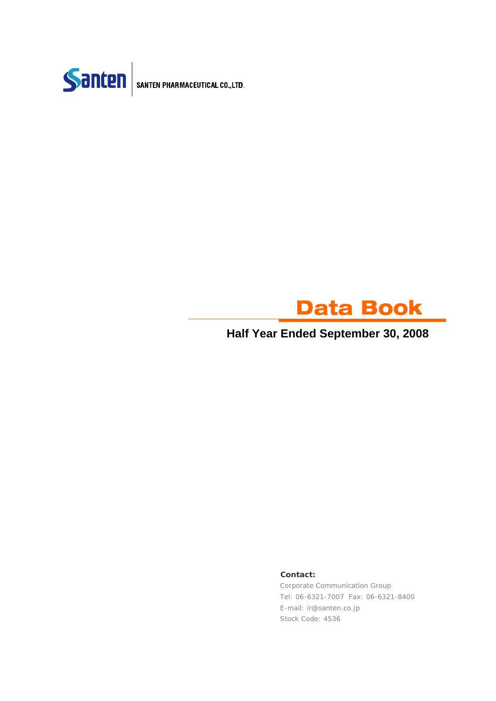



## **Half Year Ended September 30, 2008**

### **Contact:**

Corporate Communication Group Tel: 06-6321-7007 Fax: 06-6321-8400 E-mail: ir@santen.co.jp Stock Code: 4536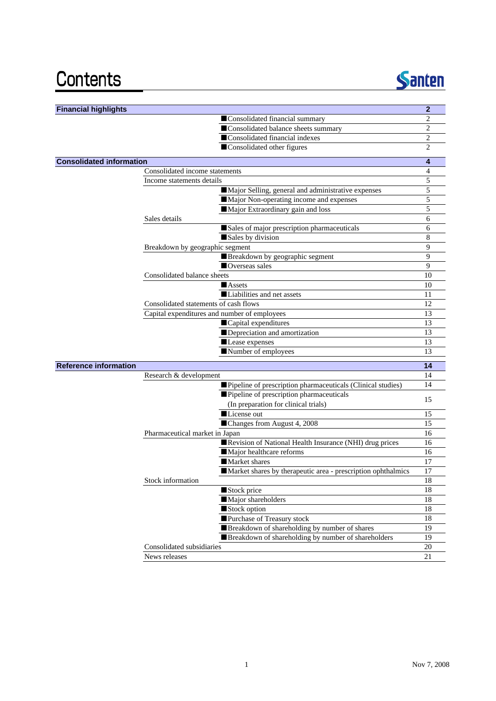# Contents



| <b>Financial highlights</b>     |                                              |                                                              | $\overline{2}$ |
|---------------------------------|----------------------------------------------|--------------------------------------------------------------|----------------|
|                                 |                                              | Consolidated financial summary                               | 2              |
|                                 |                                              | Consolidated balance sheets summary                          | $\overline{c}$ |
|                                 |                                              | Consolidated financial indexes                               | 2              |
|                                 |                                              | Consolidated other figures                                   | 2              |
| <b>Consolidated information</b> |                                              |                                                              | 4              |
|                                 | Consolidated income statements               |                                                              | 4              |
|                                 | Income statements details                    |                                                              | 5              |
|                                 |                                              | Major Selling, general and administrative expenses           | 5              |
|                                 |                                              | Major Non-operating income and expenses                      | 5              |
|                                 |                                              | Major Extraordinary gain and loss                            | 5              |
|                                 | Sales details                                |                                                              | 6              |
|                                 |                                              | Sales of major prescription pharmaceuticals                  | 6              |
|                                 |                                              | Sales by division                                            | 8              |
|                                 | Breakdown by geographic segment              |                                                              | 9              |
|                                 |                                              | Breakdown by geographic segment                              | 9              |
|                                 |                                              | Overseas sales                                               | 9              |
|                                 | Consolidated balance sheets                  |                                                              | 10             |
|                                 |                                              | <b>Assets</b>                                                | 10             |
|                                 |                                              | Liabilities and net assets                                   | 11             |
|                                 | Consolidated statements of cash flows        |                                                              | 12             |
|                                 | Capital expenditures and number of employees |                                                              | 13             |
|                                 |                                              | Capital expenditures                                         | 13             |
|                                 |                                              | Depreciation and amortization                                | 13             |
|                                 |                                              | Lease expenses                                               | 13             |
|                                 |                                              | Number of employees                                          | 13             |
| <b>Reference information</b>    |                                              |                                                              | 14             |
|                                 | Research & development                       |                                                              | 14             |
|                                 |                                              | Pipeline of prescription pharmaceuticals (Clinical studies)  | 14             |
|                                 |                                              | Pipeline of prescription pharmaceuticals                     | 15             |
|                                 |                                              | (In preparation for clinical trials)                         |                |
|                                 |                                              | License out                                                  | 15             |
|                                 |                                              | Changes from August 4, 2008                                  | 15             |
|                                 | Pharmaceutical market in Japan               |                                                              | 16             |
|                                 |                                              | Revision of National Health Insurance (NHI) drug prices      | 16             |
|                                 |                                              | Major healthcare reforms                                     | 16             |
|                                 |                                              | Market shares                                                | 17             |
|                                 |                                              | Market shares by therapeutic area - prescription ophthalmics | 17             |
|                                 | Stock information                            |                                                              | 18             |
|                                 |                                              | Stock price                                                  | 18             |
|                                 |                                              | Major shareholders                                           | 18             |
|                                 |                                              | Stock option                                                 | $18\,$         |
|                                 |                                              | Purchase of Treasury stock                                   | 18             |
|                                 |                                              | Breakdown of shareholding by number of shares                | 19             |
|                                 |                                              | Breakdown of shareholding by number of shareholders          | 19             |
|                                 | Consolidated subsidiaries                    |                                                              | 20             |
|                                 | News releases                                |                                                              | 21             |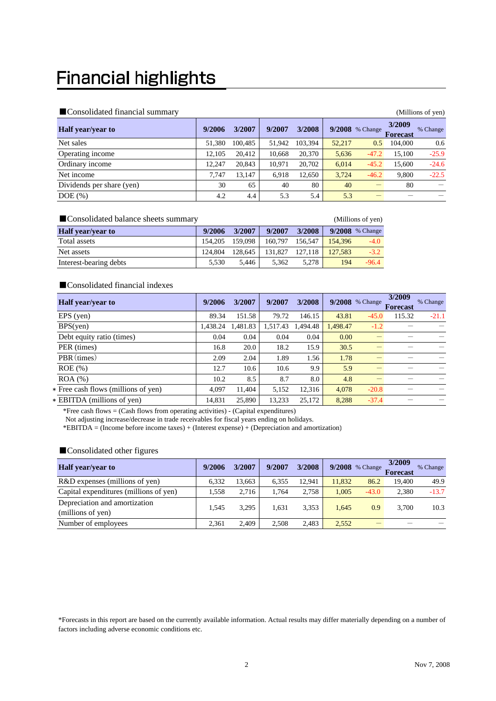# **Financial highlights**

## $\blacksquare$  Consolidated financial summary  $\blacksquare$

| $\blacksquare$ Consondated Imancial Summary |        |         |        |         |        |                   |                           | (Millions of yen) |
|---------------------------------------------|--------|---------|--------|---------|--------|-------------------|---------------------------|-------------------|
| <b>Half</b> year/year to                    | 9/2006 | 3/2007  | 9/2007 | 3/2008  |        | $9/2008$ % Change | 3/2009<br><b>Forecast</b> | % Change          |
| Net sales                                   | 51.380 | 100.485 | 51.942 | 103.394 | 52,217 | 0.5               | 104.000                   | 0.6               |
| Operating income                            | 12.105 | 20.412  | 10.668 | 20,370  | 5,636  | $-47.2$           | 15.100                    | $-25.9$           |
| Ordinary income                             | 12.247 | 20.843  | 10.971 | 20,702  | 6,014  | $-45.2$           | 15.600                    | $-24.6$           |
| Net income                                  | 7.747  | 13.147  | 6.918  | 12.650  | 3.724  | $-46.2$           | 9.800                     | $-22.5$           |
| Dividends per share (yen)                   | 30     | 65      | 40     | 80      | 40     |                   | 80                        |                   |
| $DOE$ $(\%)$                                | 4.2    | 4.4     | 5.3    | 5.4     | 5.3    |                   |                           |                   |

| Consolidated balance sheets summary |         |         |         |         |         | (Millions of yen) |
|-------------------------------------|---------|---------|---------|---------|---------|-------------------|
| <b>Half</b> year/year to            | 9/2006  | 3/2007  | 9/2007  | 3/2008  |         | $9/2008$ % Change |
| Total assets                        | 154.205 | 159,098 | 160,797 | 156,547 | 154.396 | $-4.0$            |
| Net assets                          | 124.804 | 128.645 | 131.827 | 127.118 | 127.583 | $-3.2$            |
| Interest-bearing debts              | 5.530   | 5.446   | 5.362   | 5.278   | 194     | $-96.4$           |

### ■Consolidated financial indexes

| <b>Half</b> year/year to            | 9/2006   | 3/2007   | 9/2007   | 3/2008   |          | $9/2008$ % Change | 3/2009<br><b>Forecast</b> | % Change |
|-------------------------------------|----------|----------|----------|----------|----------|-------------------|---------------------------|----------|
| EPS (yen)                           | 89.34    | 151.58   | 79.72    | 146.15   | 43.81    | $-45.0$           | 115.32                    | $-21.1$  |
| BPS(yen)                            | 1.438.24 | 1.481.83 | 1,517.43 | 1.494.48 | 1.498.47 | $-1.2$            |                           |          |
| Debt equity ratio (times)           | 0.04     | 0.04     | 0.04     | 0.04     | 0.00     |                   |                           |          |
| PER (times)                         | 16.8     | 20.0     | 18.2     | 15.9     | 30.5     |                   |                           |          |
| PBR (times)                         | 2.09     | 2.04     | 1.89     | 1.56     | 1.78     |                   |                           |          |
| $ROE$ (%)                           | 12.7     | 10.6     | 10.6     | 9.9      | 5.9      |                   |                           |          |
| $ROA$ $%$                           | 10.2     | 8.5      | 8.7      | 8.0      | 4.8      |                   |                           |          |
| * Free cash flows (millions of yen) | 4.097    | 11.404   | 5,152    | 12.316   | 4,078    | $-20.8$           |                           |          |
| * EBITDA (millions of yen)          | 14,831   | 25,890   | 13,233   | 25,172   | 8,288    | $-37.4$           |                           |          |

\*Free cash flows = (Cash flows from operating activities) - (Capital expenditures)

Not adjusting increase/decrease in trade receivables for fiscal years ending on holidays.

\*EBITDA = (Income before income taxes) + (Interest expense) + (Depreciation and amortization)

## ■Consolidated other figures

| <b>Half</b> year/year to                           | 9/2006 | 3/2007 | 9/2007 | 3/2008 |        | $9/2008$ % Change | 3/2009<br><b>Forecast</b> | % Change |
|----------------------------------------------------|--------|--------|--------|--------|--------|-------------------|---------------------------|----------|
| R&D expenses (millions of yen)                     | 6.332  | 13.663 | 6.355  | 12.941 | 11.832 | 86.2              | 19.400                    | 49.9     |
| Capital expenditures (millions of yen)             | 1.558  | 2.716  | 1.764  | 2.758  | 1.005  | $-43.0$           | 2.380                     | $-13.7$  |
| Depreciation and amortization<br>(millions of yen) | 1.545  | 3.295  | 1.631  | 3,353  | 1.645  | 0.9               | 3.700                     | 10.3     |
| Number of employees                                | 2.361  | 2.409  | 2.508  | 2.483  | 2,552  |                   |                           |          |

\*Forecasts in this report are based on the currently available information. Actual results may differ materially depending on a number of factors including adverse economic conditions etc.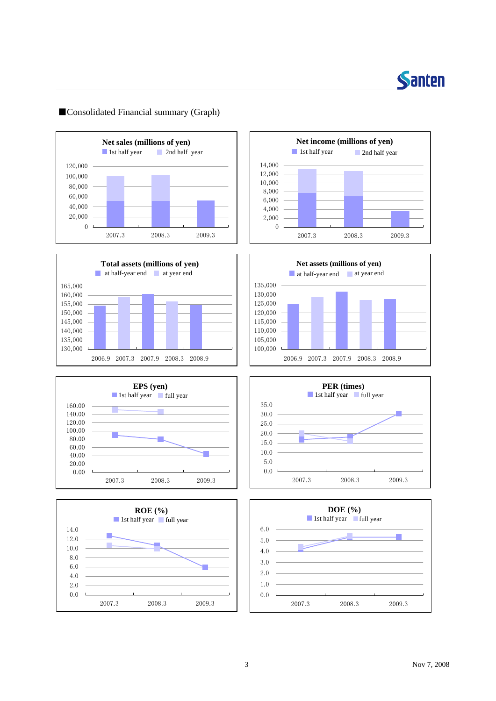

## ■Consolidated Financial summary (Graph)















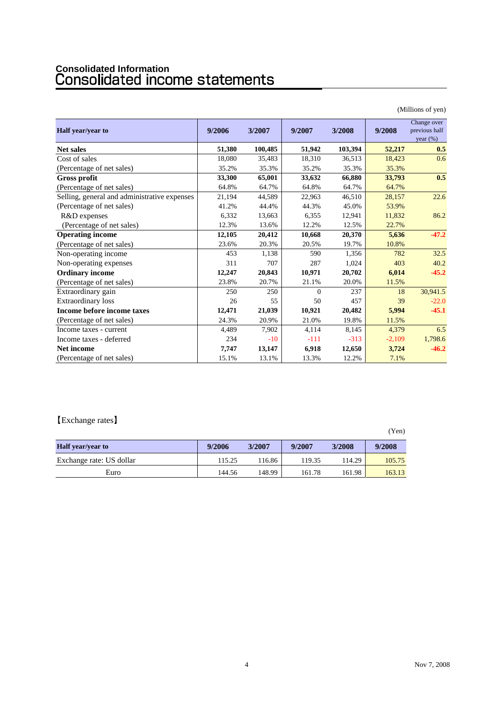# **Consolidated Information**

|                                              |        |         |          |         |          | (Millions of yen)                           |
|----------------------------------------------|--------|---------|----------|---------|----------|---------------------------------------------|
| Half year/year to                            | 9/2006 | 3/2007  | 9/2007   | 3/2008  | 9/2008   | Change over<br>previous half<br>year $(\%)$ |
| <b>Net sales</b>                             | 51,380 | 100,485 | 51,942   | 103,394 | 52,217   | 0.5                                         |
| Cost of sales                                | 18,080 | 35,483  | 18,310   | 36,513  | 18,423   | 0.6                                         |
| (Percentage of net sales)                    | 35.2%  | 35.3%   | 35.2%    | 35.3%   | 35.3%    |                                             |
| <b>Gross profit</b>                          | 33,300 | 65,001  | 33,632   | 66,880  | 33,793   | 0.5                                         |
| (Percentage of net sales)                    | 64.8%  | 64.7%   | 64.8%    | 64.7%   | 64.7%    |                                             |
| Selling, general and administrative expenses | 21,194 | 44,589  | 22,963   | 46,510  | 28,157   | 22.6                                        |
| (Percentage of net sales)                    | 41.2%  | 44.4%   | 44.3%    | 45.0%   | 53.9%    |                                             |
| R&D expenses                                 | 6,332  | 13,663  | 6,355    | 12,941  | 11,832   | 86.2                                        |
| (Percentage of net sales)                    | 12.3%  | 13.6%   | 12.2%    | 12.5%   | 22.7%    |                                             |
| <b>Operating income</b>                      | 12,105 | 20,412  | 10,668   | 20,370  | 5,636    | $-47.2$                                     |
| (Percentage of net sales)                    | 23.6%  | 20.3%   | 20.5%    | 19.7%   | 10.8%    |                                             |
| Non-operating income                         | 453    | 1,138   | 590      | 1,356   | 782      | 32.5                                        |
| Non-operating expenses                       | 311    | 707     | 287      | 1,024   | 403      | 40.2                                        |
| <b>Ordinary income</b>                       | 12,247 | 20,843  | 10,971   | 20,702  | 6,014    | $-45.2$                                     |
| (Percentage of net sales)                    | 23.8%  | 20.7%   | 21.1%    | 20.0%   | 11.5%    |                                             |
| Extraordinary gain                           | 250    | 250     | $\Omega$ | 237     | 18       | 30.941.5                                    |
| <b>Extraordinary</b> loss                    | 26     | 55      | 50       | 457     | 39       | $-22.0$                                     |
| Income before income taxes                   | 12,471 | 21,039  | 10,921   | 20,482  | 5,994    | $-45.1$                                     |
| (Percentage of net sales)                    | 24.3%  | 20.9%   | 21.0%    | 19.8%   | 11.5%    |                                             |
| Income taxes - current                       | 4,489  | 7,902   | 4.114    | 8,145   | 4,379    | 6.5                                         |
| Income taxes - deferred                      | 234    | $-10$   | $-111$   | $-313$  | $-2,109$ | 1,798.6                                     |
| <b>Net income</b>                            | 7,747  | 13,147  | 6,918    | 12,650  | 3,724    | $-46.2$                                     |
| (Percentage of net sales)                    | 15.1%  | 13.1%   | 13.3%    | 12.2%   | 7.1%     |                                             |

## 【Exchange rates】

|                          |        |        |        |        | _______ |
|--------------------------|--------|--------|--------|--------|---------|
| <b>Half</b> year/year to | 9/2006 | 3/2007 | 9/2007 | 3/2008 | 9/2008  |
| Exchange rate: US dollar | 115.25 | 16.86  | 119.35 | 114.29 | 105.75  |
| Euro                     | 144.56 | 148.99 | 161.78 | 161.98 | 163.13  |

(Yen)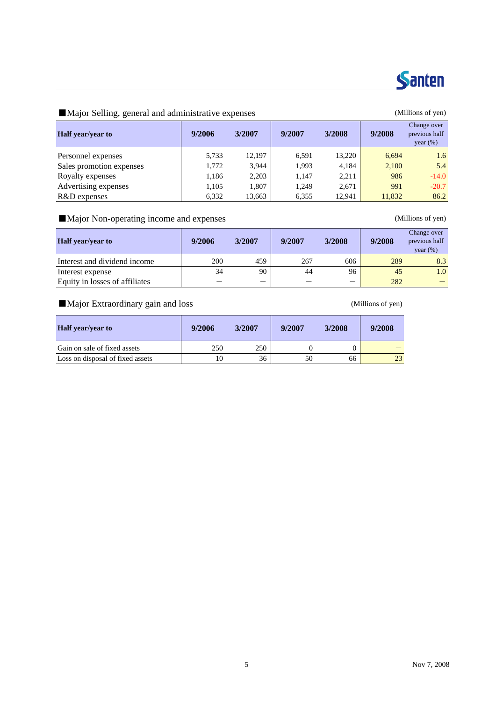

## ■Major Selling, general and administrative expenses (Millions of yen)

| Half year/year to        | 9/2006 | 3/2007 | 9/2007 | 3/2008 | 9/2008 | Change over<br>previous half<br>year $(\%)$ |
|--------------------------|--------|--------|--------|--------|--------|---------------------------------------------|
| Personnel expenses       | 5,733  | 12,197 | 6,591  | 13.220 | 6.694  | 1.6                                         |
| Sales promotion expenses | 1,772  | 3.944  | 1.993  | 4.184  | 2,100  | 5.4                                         |
| Royalty expenses         | 1,186  | 2,203  | 1.147  | 2.211  | 986    | $-14.0$                                     |
| Advertising expenses     | 1,105  | 1.807  | 1,249  | 2.671  | 991    | $-20.7$                                     |
| R&D expenses             | 6,332  | 13,663 | 6,355  | 12.941 | 11,832 | 86.2                                        |

## ■Major Non-operating income and expenses (Millions of yen)

| <b>Half</b> year/year to       | 9/2006 | 3/2007 | 9/2007 | 3/2008 | 9/2008 | Change over<br>previous half<br>year $(\%)$ |
|--------------------------------|--------|--------|--------|--------|--------|---------------------------------------------|
| Interest and dividend income   | 200    | 459    | 267    | 606    | 289    | 8.3                                         |
| Interest expense               | 34     | 90     | 44     | 96     | 45     | 1.0                                         |
| Equity in losses of affiliates |        | _      |        |        | 282    |                                             |

## ■Major Extraordinary gain and loss (Millions of yen)

| <b>Half</b> year/year to         | 9/2006 | 3/2007 | 9/2007 | 3/2008 | 9/2008 |
|----------------------------------|--------|--------|--------|--------|--------|
| Gain on sale of fixed assets     | 250    | 250    |        |        |        |
| Loss on disposal of fixed assets |        | 36     | 50     | 66     | 23     |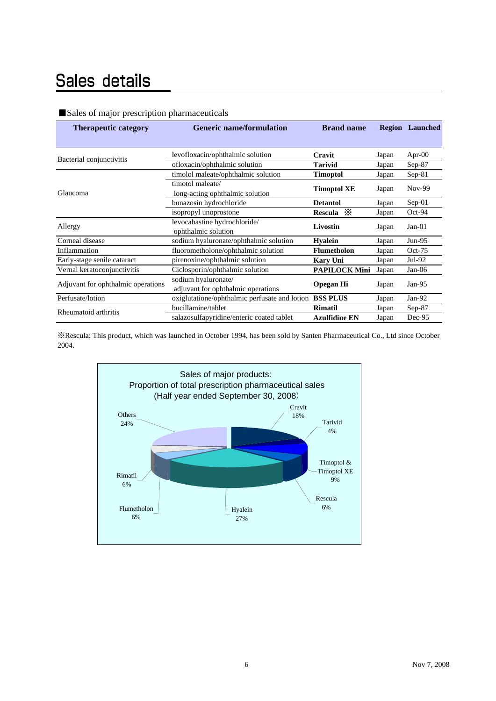## Sales details

## ■Sales of major prescription pharmaceuticals

| <b>Therapeutic category</b>        | <b>Generic name/formulation</b>                           | <b>Brand name</b>    |       | <b>Region</b> Launched |
|------------------------------------|-----------------------------------------------------------|----------------------|-------|------------------------|
|                                    |                                                           |                      |       |                        |
| Bacterial conjunctivitis           | levofloxacin/ophthalmic solution                          | Cravit               | Japan | Apr- $00$              |
|                                    | ofloxacin/ophthalmic solution                             | <b>Tarivid</b>       | Japan | $Sep-87$               |
|                                    | timolol maleate/ophthalmic solution                       | <b>Timoptol</b>      | Japan | $Sep-81$               |
| Glaucoma                           | timotol maleate/<br>long-acting ophthalmic solution       | <b>Timoptol XE</b>   | Japan | Nov-99                 |
|                                    | bunazosin hydrochloride                                   | <b>Detantol</b>      | Japan | $Sep-01$               |
|                                    | isopropyl unoprostone                                     | Rescula $\mathbb{X}$ | Japan | Oct-94                 |
| Allergy                            | levocabastine hydrochloride/<br>ophthalmic solution       | Livostin             | Japan | $Jan-01$               |
| Corneal disease                    | sodium hyaluronate/ophthalmic solution                    | <b>Hyalein</b>       | Japan | $Jun-95$               |
| Inflammation                       | fluorometholone/ophthalmic solution                       | <b>Flumetholon</b>   | Japan | $Oct-75$               |
| Early-stage senile cataract        | pirenoxine/ophthalmic solution                            | <b>Kary Uni</b>      | Japan | Jul-92                 |
| Vernal keratoconjunctivitis        | Ciclosporin/ophthalmic solution                           | <b>PAPILOCK Mini</b> | Japan | $Jan-06$               |
| Adjuvant for ophthalmic operations | sodium hyaluronate/<br>adjuvant for ophthalmic operations | <b>Opegan Hi</b>     | Japan | Jan- $95$              |
| Perfusate/lotion                   | oxiglutatione/ophthalmic perfusate and lotion             | <b>BSS PLUS</b>      | Japan | $Jan-92$               |
| Rheumatoid arthritis               | bucillamine/tablet                                        | <b>Rimatil</b>       | Japan | $Sep-87$               |
|                                    | salazosulfapyridine/enteric coated tablet                 | <b>Azulfidine EN</b> | Japan | Dec-95                 |

※Rescula: This product, which was launched in October 1994, has been sold by Santen Pharmaceutical Co., Ltd since October 2004.

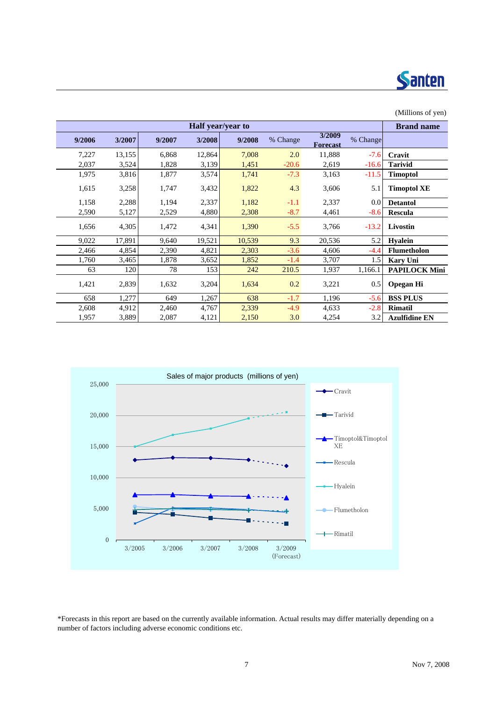

|        |        |        |                   |        |          |                           |          | (Millions of yen)    |
|--------|--------|--------|-------------------|--------|----------|---------------------------|----------|----------------------|
|        |        |        | Half year/year to |        |          |                           |          | <b>Brand name</b>    |
| 9/2006 | 3/2007 | 9/2007 | 3/2008            | 9/2008 | % Change | 3/2009<br><b>Forecast</b> | % Change |                      |
| 7,227  | 13,155 | 6,868  | 12,864            | 7,008  | 2.0      | 11,888                    | $-7.6$   | Cravit               |
| 2,037  | 3,524  | 1,828  | 3,139             | 1,451  | $-20.6$  | 2,619                     | $-16.6$  | <b>Tarivid</b>       |
| 1,975  | 3,816  | 1,877  | 3,574             | 1,741  | $-7.3$   | 3,163                     | $-11.5$  | <b>Timoptol</b>      |
| 1,615  | 3,258  | 1,747  | 3,432             | 1,822  | 4.3      | 3,606                     | 5.1      | <b>Timoptol XE</b>   |
| 1,158  | 2,288  | 1,194  | 2,337             | 1,182  | $-1.1$   | 2,337                     | 0.0      | <b>Detantol</b>      |
| 2,590  | 5,127  | 2,529  | 4,880             | 2,308  | $-8.7$   | 4,461                     | $-8.6$   | <b>Rescula</b>       |
| 1,656  | 4,305  | 1,472  | 4,341             | 1,390  | $-5.5$   | 3,766                     | $-13.2$  | <b>Livostin</b>      |
| 9,022  | 17,891 | 9,640  | 19,521            | 10,539 | 9.3      | 20,536                    | 5.2      | <b>Hyalein</b>       |
| 2,466  | 4,854  | 2,390  | 4,821             | 2,303  | $-3.6$   | 4,606                     | $-4.4$   | <b>Flumetholon</b>   |
| 1,760  | 3,465  | 1,878  | 3,652             | 1,852  | $-1.4$   | 3,707                     | 1.5      | <b>Kary Uni</b>      |
| 63     | 120    | 78     | 153               | 242    | 210.5    | 1,937                     | 1,166.1  | <b>PAPILOCK Mini</b> |
| 1,421  | 2,839  | 1,632  | 3,204             | 1,634  | 0.2      | 3,221                     | 0.5      | <b>Opegan Hi</b>     |
| 658    | 1,277  | 649    | 1,267             | 638    | $-1.7$   | 1,196                     | $-5.6$   | <b>BSS PLUS</b>      |
| 2,608  | 4,912  | 2,460  | 4,767             | 2,339  | $-4.9$   | 4,633                     | $-2.8$   | <b>Rimatil</b>       |
| 1,957  | 3,889  | 2,087  | 4,121             | 2,150  | 3.0      | 4,254                     | 3.2      | <b>Azulfidine EN</b> |



\*Forecasts in this report are based on the currently available information. Actual results may differ materially depending on a number of factors including adverse economic conditions etc.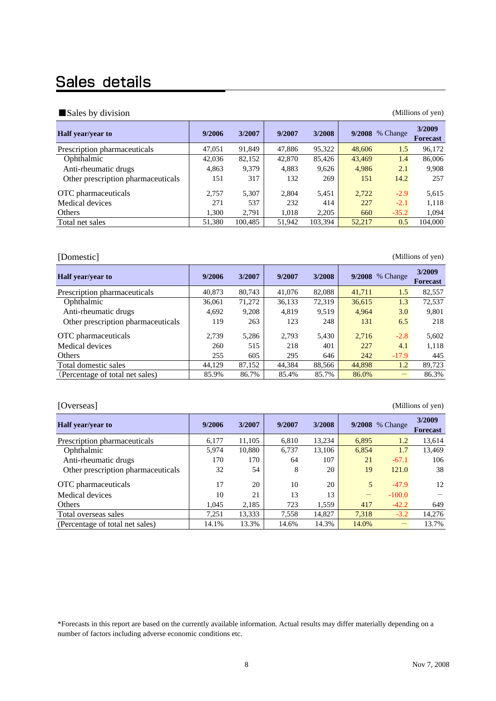## Sales details

### ■ Sales by division (Millions of yen)

| <b>Half</b> year/year to           | 9/2006 | 3/2007  | 9/2007 | 3/2008  |        | 9/2008 % Change | 3/2009<br>Forecast |
|------------------------------------|--------|---------|--------|---------|--------|-----------------|--------------------|
| Prescription pharmaceuticals       | 47,051 | 91,849  | 47,886 | 95,322  | 48,606 | 1.5             | 96,172             |
| Ophthalmic                         | 42,036 | 82,152  | 42,870 | 85,426  | 43,469 | 1.4             | 86,006             |
| Anti-rheumatic drugs               | 4,863  | 9,379   | 4,883  | 9,626   | 4,986  | 2.1             | 9,908              |
| Other prescription pharmaceuticals | 151    | 317     | 132    | 269     | 151    | 14.2            | 257                |
| OTC pharmaceuticals                | 2.757  | 5,307   | 2,804  | 5,451   | 2,722  | $-2.9$          | 5,615              |
| Medical devices                    | 271    | 537     | 232    | 414     | 227    | $-2.1$          | 1,118              |
| Others                             | 1,300  | 2,791   | 1,018  | 2,205   | 660    | $-35.2$         | 1,094              |
| Total net sales                    | 51,380 | 100,485 | 51,942 | 103.394 | 52,217 | 0.5             | 104,000            |

[Domestic] (Millions of yen)

| <b>Half</b> year/year to           | 9/2006 | 3/2007 | 9/2007 | 3/2008 |        | 9/2008 % Change | 3/2009<br><b>Forecast</b> |
|------------------------------------|--------|--------|--------|--------|--------|-----------------|---------------------------|
| Prescription pharmaceuticals       | 40,873 | 80,743 | 41,076 | 82,088 | 41,711 | 1.5             | 82,557                    |
| Ophthalmic                         | 36,061 | 71,272 | 36,133 | 72,319 | 36,615 | 1.3             | 72,537                    |
| Anti-rheumatic drugs               | 4,692  | 9,208  | 4.819  | 9.519  | 4.964  | 3.0             | 9,801                     |
| Other prescription pharmaceuticals | 119    | 263    | 123    | 248    | 131    | 6.5             | 218                       |
| OTC pharmaceuticals                | 2.739  | 5,286  | 2,793  | 5,430  | 2,716  | $-2.8$          | 5,602                     |
| Medical devices                    | 260    | 515    | 218    | 401    | 227    | 4.1             | 1,118                     |
| Others                             | 255    | 605    | 295    | 646    | 242    | $-17.9$         | 445                       |
| Total domestic sales               | 44,129 | 87,152 | 44,384 | 88.566 | 44,898 | 1.2             | 89,723                    |
| (Percentage of total net sales)    | 85.9%  | 86.7%  | 85.4%  | 85.7%  | 86.0%  |                 | 86.3%                     |

| [Overseas]                         | (Millions of yen) |        |        |        |                                |                 |                           |  |  |  |  |  |
|------------------------------------|-------------------|--------|--------|--------|--------------------------------|-----------------|---------------------------|--|--|--|--|--|
| Half year/year to                  | 9/2006            | 3/2007 | 9/2007 | 3/2008 |                                | 9/2008 % Change | 3/2009<br><b>Forecast</b> |  |  |  |  |  |
| Prescription pharmaceuticals       | 6.177             | 11.105 | 6.810  | 13.234 | 6.895                          | 1.2             | 13,614                    |  |  |  |  |  |
| Ophthalmic                         | 5.974             | 10.880 | 6.737  | 13.106 | 6,854                          | 1.7             | 13.469                    |  |  |  |  |  |
| Anti-rheumatic drugs               | 170               | 170    | 64     | 107    | 21                             | $-67.1$         | 106                       |  |  |  |  |  |
| Other prescription pharmaceuticals | 32                | 54     | 8      | 20     | 19                             | 121.0           | 38                        |  |  |  |  |  |
| OTC pharmaceuticals                | 17                | 20     | 10     | 20     | 5                              | $-47.9$         | 12                        |  |  |  |  |  |
| Medical devices                    | 10                | 21     | 13     | 13     | $\qquad \qquad \longleftarrow$ | $-100.0$        |                           |  |  |  |  |  |
| Others                             | 1,045             | 2,185  | 723    | 1,559  | 417                            | $-42.2$         | 649                       |  |  |  |  |  |
| Total overseas sales               | 7.251             | 13,333 | 7.558  | 14.827 | 7.318                          | $-3.2$          | 14.276                    |  |  |  |  |  |
| (Percentage of total net sales)    | 14.1%             | 13.3%  | 14.6%  | 14.3%  | 14.0%                          |                 | 13.7%                     |  |  |  |  |  |

\*Forecasts in this report are based on the currently available information. Actual results may differ materially depending on a number of factors including adverse economic conditions etc.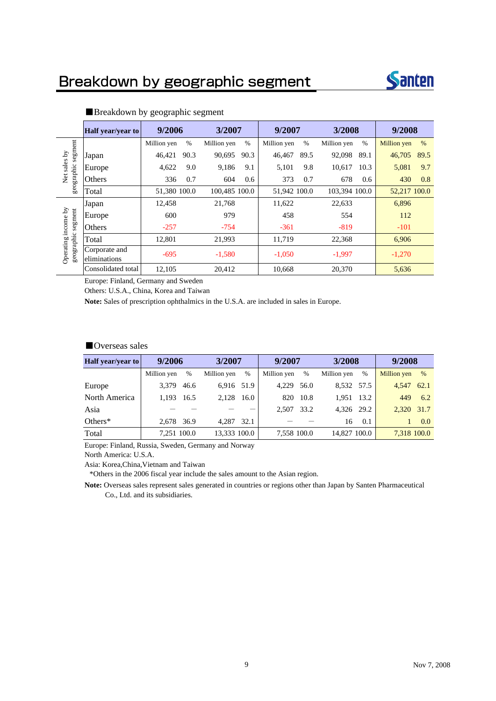

|                         | Half year/year to             | 9/2006       |      | 3/2007        |      | 9/2007       |      | 3/2008        |      | 9/2008       |      |
|-------------------------|-------------------------------|--------------|------|---------------|------|--------------|------|---------------|------|--------------|------|
|                         |                               | Million yen  | %    | Million yen   | $\%$ | Million yen  | $\%$ | Million yen   | $\%$ | Million yen  | $\%$ |
| segment                 | Japan                         | 46,421       | 90.3 | 90,695        | 90.3 | 46,467       | 89.5 | 92,098        | 89.1 | 46,705       | 89.5 |
| sales by                | Europe                        | 4,622        | 9.0  | 9,186         | 9.1  | 5,101        | 9.8  | 10,617        | 10.3 | 5,081        | 9.7  |
| geographic<br>Net       | Others                        | 336          | 0.7  | 604           | 0.6  | 373          | 0.7  | 678           | 0.6  | 430          | 0.8  |
|                         | Total                         | 51,380 100.0 |      | 100.485 100.0 |      | 51,942 100.0 |      | 103.394 100.0 |      | 52.217 100.0 |      |
|                         | Japan                         | 12.458       |      | 21,768        |      | 11,622       |      | 22,633        |      | 6,896        |      |
| segment                 | Europe                        | 600          |      | 979           |      | 458          |      | 554           |      | 112          |      |
| income by               | Others                        | $-257$       |      | $-754$        |      | $-361$       |      | $-819$        |      | $-101$       |      |
|                         | Total                         | 12.801       |      | 21,993        |      | 11,719       |      | 22,368        |      | 6,906        |      |
| geographic<br>Operating | Corporate and<br>eliminations | $-695$       |      | $-1,580$      |      | $-1.050$     |      | $-1,997$      |      | $-1,270$     |      |
|                         | Consolidated total            | 12,105       |      | 20.412        |      | 10,668       |      | 20,370        |      | 5,636        |      |

## ■Breakdown by geographic segment

Europe: Finland, Germany and Sweden

Others: U.S.A., China, Korea and Taiwan

**Note:** Sales of prescription ophthalmics in the U.S.A. are included in sales in Europe.

### ■Overseas sales

| Half year/year to | 9/2006      |      | 3/2007       |      | 9/2007      |      | 3/2008       |      | 9/2008      |               |
|-------------------|-------------|------|--------------|------|-------------|------|--------------|------|-------------|---------------|
|                   | Million yen | $\%$ | Million yen  | $\%$ | Million yen | %    | Million yen  | $\%$ | Million yen | $\frac{0}{6}$ |
| Europe            | 3.379       | 46.6 | 6,916 51.9   |      | 4.229       | 56.0 | 8.532 57.5   |      | 4.547       | 62.1          |
| North America     | 1.193       | 16.5 | 2.128        | 16.0 | 820         | 10.8 | 1.951 13.2   |      | 449         | 6.2           |
| Asia              |             |      |              |      | 2.507       | 33.2 | 4,326 29.2   |      | 2.320       | 31.7          |
| Others $*$        | 2.678       | 36.9 | 4.287 32.1   |      |             |      | 16           | 0.1  |             | 0.0           |
| Total             | 7.251 100.0 |      | 13.333 100.0 |      | 7,558 100.0 |      | 14,827 100.0 |      | 7.318 100.0 |               |

Europe: Finland, Russia, Sweden, Germany and Norway

North America: U.S.A.

Asia: Korea,China,Vietnam and Taiwan

\*Others in the 2006 fiscal year include the sales amount to the Asian region.

**Note:** Overseas sales represent sales generated in countries or regions other than Japan by Santen Pharmaceutical Co., Ltd. and its subsidiaries.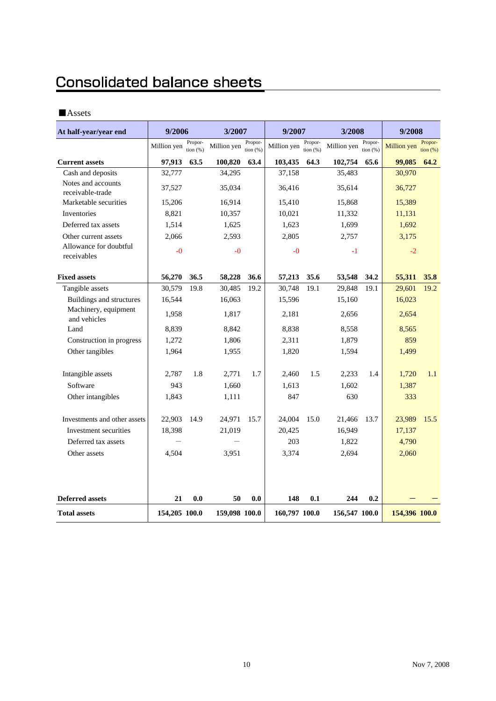## **Consolidated balance sheets**

## ■Assets

| At half-year/year end                  | 9/2006        |                     | 3/2007        |                       | 9/2007        |                       | 3/2008        |                        | 9/2008        |                        |
|----------------------------------------|---------------|---------------------|---------------|-----------------------|---------------|-----------------------|---------------|------------------------|---------------|------------------------|
|                                        | Million yen   | Propor-<br>tion (%) | Million yen   | Propor-<br>tion $(%)$ | Million yen   | Propor-<br>tion $(%)$ | Million yen   | Propor-<br>tion $(% )$ | Million yen   | Propor-<br>tion $(\%)$ |
| <b>Current assets</b>                  | 97,913        | 63.5                | 100,820       | 63.4                  | 103,435       | 64.3                  | 102,754       | 65.6                   | 99,085        | 64.2                   |
| Cash and deposits                      | 32,777        |                     | 34,295        |                       | 37,158        |                       | 35,483        |                        | 30,970        |                        |
| Notes and accounts<br>receivable-trade | 37,527        |                     | 35,034        |                       | 36,416        |                       | 35,614        |                        | 36,727        |                        |
| Marketable securities                  | 15,206        |                     | 16,914        |                       | 15,410        |                       | 15,868        |                        | 15,389        |                        |
| Inventories                            | 8,821         |                     | 10,357        |                       | 10,021        |                       | 11,332        |                        | 11,131        |                        |
| Deferred tax assets                    | 1,514         |                     | 1,625         |                       | 1,623         |                       | 1,699         |                        | 1,692         |                        |
| Other current assets                   | 2,066         |                     | 2,593         |                       | 2,805         |                       | 2,757         |                        | 3,175         |                        |
| Allowance for doubtful<br>receivables  | $-0$          |                     | $-0$          |                       | $-0$          |                       | $-1$          |                        | $-2$          |                        |
| <b>Fixed assets</b>                    | 56,270        | 36.5                | 58,228        | 36.6                  | 57,213        | 35.6                  | 53,548        | 34.2                   | 55,311        | 35.8                   |
| Tangible assets                        | 30,579        | 19.8                | 30,485        | 19.2                  | 30,748        | 19.1                  | 29,848        | 19.1                   | 29,601        | 19.2                   |
| Buildings and structures               | 16,544        |                     | 16,063        |                       | 15,596        |                       | 15,160        |                        | 16,023        |                        |
| Machinery, equipment<br>and vehicles   | 1,958         |                     | 1,817         |                       | 2,181         |                       | 2,656         |                        | 2,654         |                        |
| Land                                   | 8,839         |                     | 8,842         |                       | 8,838         |                       | 8,558         |                        | 8,565         |                        |
| Construction in progress               | 1,272         |                     | 1,806         |                       | 2,311         |                       | 1,879         |                        | 859           |                        |
| Other tangibles                        | 1,964         |                     | 1,955         |                       | 1,820         |                       | 1,594         |                        | 1,499         |                        |
| Intangible assets                      | 2,787         | 1.8                 | 2,771         | 1.7                   | 2,460         | 1.5                   | 2,233         | 1.4                    | 1,720         | 1.1                    |
| Software                               | 943           |                     | 1,660         |                       | 1,613         |                       | 1,602         |                        | 1,387         |                        |
| Other intangibles                      | 1,843         |                     | 1,111         |                       | 847           |                       | 630           |                        | 333           |                        |
| Investments and other assets           | 22,903        | 14.9                | 24,971        | 15.7                  | 24,004        | 15.0                  | 21,466        | 13.7                   | 23,989        | 15.5                   |
| Investment securities                  | 18,398        |                     | 21,019        |                       | 20,425        |                       | 16,949        |                        | 17,137        |                        |
| Deferred tax assets                    |               |                     |               |                       | 203           |                       | 1,822         |                        | 4,790         |                        |
| Other assets                           | 4,504         |                     | 3,951         |                       | 3,374         |                       | 2,694         |                        | 2,060         |                        |
|                                        |               |                     |               |                       |               |                       |               |                        |               |                        |
| <b>Deferred assets</b>                 | 21            | 0.0                 | 50            | 0.0                   | 148           | 0.1                   | 244           | 0.2                    |               |                        |
| <b>Total assets</b>                    | 154,205 100.0 |                     | 159,098 100.0 |                       | 160,797 100.0 |                       | 156,547 100.0 |                        | 154,396 100.0 |                        |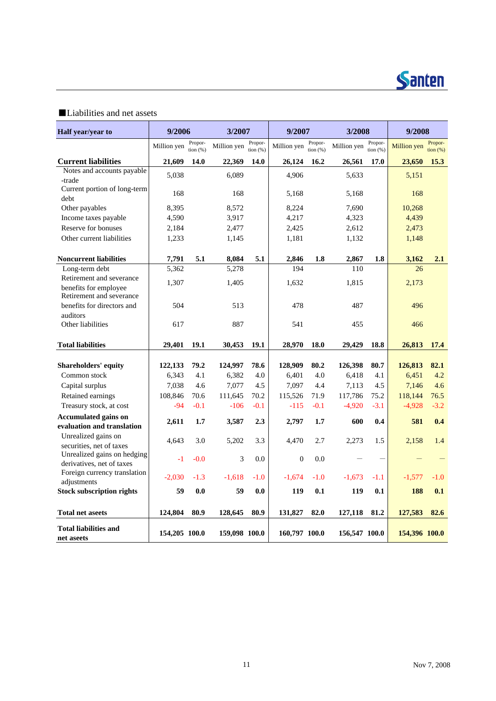

## ■Liabilities and net assets

| Half year/year to                                        | 9/2006        |                     | 3/2007        |                       | 9/2007<br>3/2008 |                     |               | 9/2008                |                    |                              |
|----------------------------------------------------------|---------------|---------------------|---------------|-----------------------|------------------|---------------------|---------------|-----------------------|--------------------|------------------------------|
|                                                          | Million yen   | Propor-<br>tion (%) | Million yen   | Propor-<br>tion $(%)$ | Million yen      | Propor-<br>tion (%) | Million yen   | Propor-<br>tion $(%)$ | <b>Million</b> yen | Propor-<br>$\frac{1}{2}$ (%) |
| <b>Current liabilities</b>                               | 21,609        | 14.0                | 22,369        | 14.0                  | 26,124           | 16.2                | 26,561        | 17.0                  | 23,650             | 15.3                         |
| Notes and accounts payable                               | 5.038         |                     | 6.089         |                       | 4.906            |                     | 5.633         |                       | 5,151              |                              |
| -trade                                                   |               |                     |               |                       |                  |                     |               |                       |                    |                              |
| Current portion of long-term<br>debt                     | 168           |                     | 168           |                       | 5,168            |                     | 5,168         |                       | 168                |                              |
| Other payables                                           | 8,395         |                     | 8,572         |                       | 8,224            |                     | 7,690         |                       | 10,268             |                              |
| Income taxes payable                                     | 4,590         |                     | 3,917         |                       | 4,217            |                     | 4,323         |                       | 4,439              |                              |
| Reserve for bonuses                                      | 2,184         |                     | 2,477         |                       | 2,425            |                     | 2,612         |                       | 2,473              |                              |
| Other current liabilities                                | 1,233         |                     | 1,145         |                       | 1,181            |                     | 1,132         |                       | 1,148              |                              |
|                                                          |               |                     |               |                       |                  |                     |               |                       |                    |                              |
| <b>Noncurrent liabilities</b>                            | 7,791         | 5.1                 | 8,084         | 5.1                   | 2,846            | 1.8                 | 2,867         | 1.8                   | 3,162              | 2.1                          |
| Long-term debt                                           | 5,362         |                     | 5,278         |                       | 194              |                     | 110           |                       | 26                 |                              |
| Retirement and severance                                 | 1,307         |                     | 1,405         |                       | 1,632            |                     | 1,815         |                       | 2,173              |                              |
| benefits for employee<br>Retirement and severance        |               |                     |               |                       |                  |                     |               |                       |                    |                              |
| benefits for directors and                               | 504           |                     | 513           |                       | 478              |                     | 487           |                       | 496                |                              |
| auditors                                                 |               |                     |               |                       |                  |                     |               |                       |                    |                              |
| Other liabilities                                        | 617           |                     | 887           |                       | 541              |                     | 455           |                       | 466                |                              |
|                                                          |               |                     |               |                       |                  |                     |               |                       |                    |                              |
| <b>Total liabilities</b>                                 | 29,401        | 19.1                | 30,453        | 19.1                  | 28,970           | <b>18.0</b>         | 29,429        | 18.8                  | 26,813             | 17.4                         |
| <b>Shareholders' equity</b>                              | 122,133       | 79.2                | 124,997       | 78.6                  | 128,909          | 80.2                | 126,398       | 80.7                  | 126,813            | 82.1                         |
| Common stock                                             | 6,343         | 4.1                 | 6,382         | 4.0                   | 6,401            | 4.0                 | 6,418         | 4.1                   | 6,451              | 4.2                          |
| Capital surplus                                          | 7,038         | 4.6                 | 7,077         | 4.5                   | 7,097            | 4.4                 | 7,113         | 4.5                   | 7,146              | 4.6                          |
| Retained earnings                                        | 108,846       | 70.6                | 111,645       | 70.2                  | 115,526          | 71.9                | 117,786       | 75.2                  | 118,144            | 76.5                         |
| Treasury stock, at cost                                  | $-94$         | $-0.1$              | $-106$        | $-0.1$                | $-115$           | $-0.1$              | $-4,920$      | $-3.1$                | $-4,928$           | $-3.2$                       |
| <b>Accumulated gains on</b>                              | 2,611         | 1.7                 | 3,587         | 2.3                   | 2,797            | 1.7                 | 600           | 0.4                   | 581                | 0.4                          |
| evaluation and translation                               |               |                     |               |                       |                  |                     |               |                       |                    |                              |
| Unrealized gains on                                      | 4,643         | 3.0                 | 5,202         | 3.3                   | 4,470            | 2.7                 | 2,273         | 1.5                   | 2,158              | 1.4                          |
| securities, net of taxes                                 |               |                     |               |                       |                  |                     |               |                       |                    |                              |
| Unrealized gains on hedging<br>derivatives, net of taxes | $-1$          | $-0.0$              | 3             | 0.0                   | $\mathbf{0}$     | 0.0                 |               |                       |                    |                              |
| Foreign currency translation                             |               |                     |               |                       |                  |                     |               |                       |                    |                              |
| adjustments                                              | $-2,030$      | $-1.3$              | $-1,618$      | $-1.0$                | $-1,674$         | $-1.0$              | $-1,673$      | -1.1                  | $-1,577$           | $-1.0$                       |
| <b>Stock subscription rights</b>                         | 59            | 0.0                 | 59            | 0.0                   | 119              | 0.1                 | 119           | 0.1                   | 188                | 0.1                          |
|                                                          |               |                     |               |                       |                  |                     |               |                       |                    |                              |
| <b>Total net aseets</b>                                  | 124,804       | 80.9                | 128,645       | 80.9                  | 131,827          | 82.0                | 127,118       | 81.2                  | 127,583            | 82.6                         |
| <b>Total liabilities and</b><br>net aseets               | 154,205 100.0 |                     | 159,098 100.0 |                       | 160,797 100.0    |                     | 156,547 100.0 |                       | 154,396 100.0      |                              |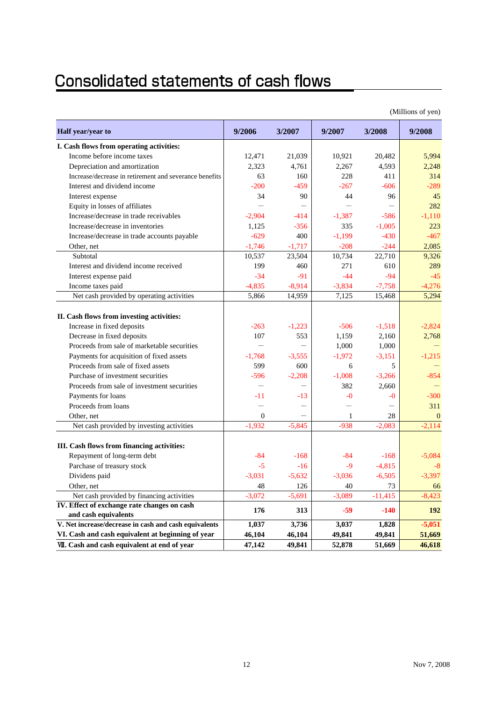# **Consolidated statements of cash flows**

|                                                        |                |          |          |           | (Millions of yen) |
|--------------------------------------------------------|----------------|----------|----------|-----------|-------------------|
| Half year/year to                                      | 9/2006         | 3/2007   | 9/2007   | 3/2008    | 9/2008            |
| I. Cash flows from operating activities:               |                |          |          |           |                   |
| Income before income taxes                             | 12,471         | 21,039   | 10,921   | 20.482    | 5,994             |
| Depreciation and amortization                          | 2,323          | 4.761    | 2,267    | 4,593     | 2,248             |
| Increase/decrease in retirement and severance benefits | 63             | 160      | 228      | 411       | 314               |
| Interest and dividend income                           | $-200$         | $-459$   | -267     | $-606$    | -289              |
| Interest expense                                       | 34             | 90       | 44       | 96        | 45                |
| Equity in losses of affiliates                         |                |          |          |           | 282               |
| Increase/decrease in trade receivables                 | $-2,904$       | $-414$   | $-1,387$ | $-586$    | $-1.110$          |
| Increase/decrease in inventories                       | 1,125          | $-356$   | 335      | $-1,005$  | 223               |
| Increase/decrease in trade accounts payable            | $-629$         | 400      | $-1,199$ | $-430$    | $-467$            |
| Other, net                                             | $-1,746$       | $-1,717$ | $-208$   | $-244$    | 2,085             |
| Subtotal                                               | 10,537         | 23,504   | 10,734   | 22,710    | 9,326             |
| Interest and dividend income received                  | 199            | 460      | 271      | 610       | 289               |
| Interest expense paid                                  | $-34$          | $-91$    | $-44$    | $-94$     | $-45$             |
| Income taxes paid                                      | $-4,835$       | $-8,914$ | $-3,834$ | $-7,758$  | $-4,276$          |
| Net cash provided by operating activities              | 5,866          | 14,959   | 7,125    | 15,468    | 5,294             |
| II. Cash flows from investing activities:              |                |          |          |           |                   |
| Increase in fixed deposits                             | $-263$         | $-1,223$ | $-506$   | $-1,518$  | $-2,824$          |
| Decrease in fixed deposits                             | 107            | 553      | 1,159    | 2,160     | 2,768             |
| Proceeds from sale of marketable securities            |                |          | 1,000    | 1,000     |                   |
| Payments for acquisition of fixed assets               | $-1,768$       | $-3,555$ | $-1,972$ | $-3,151$  | $-1,215$          |
| Proceeds from sale of fixed assets                     | 599            | 600      | 6        | 5         |                   |
| Purchase of investment securities                      | $-596$         | $-2,208$ | $-1,008$ | $-3,266$  | $-854$            |
| Proceeds from sale of investment securities            |                |          | 382      | 2,660     |                   |
| Payments for loans                                     | -11            | -13      | -0       | $-0$      | $-300$            |
| Proceeds from loans                                    |                |          |          |           | 311               |
| Other, net                                             | $\overline{0}$ |          | 1        | 28        | $\mathbf{0}$      |
| Net cash provided by investing activities              | $-1,932$       | $-5,845$ | $-938$   | $-2,083$  | $-2,114$          |
|                                                        |                |          |          |           |                   |
| III. Cash flows from financing activities:             |                |          |          |           |                   |
| Repayment of long-term debt                            | $-84$          | $-168$   | $-84$    | $-168$    | $-5,084$          |
| Parchase of treasury stock                             | $-5$           | $-16$    | $-9$     | $-4,815$  | -8                |
| Dividens paid                                          | $-3,031$       | $-5,632$ | $-3,036$ | $-6,505$  | $-3,397$          |
| Other, net                                             | 48             | 126      | 40       | 73        | 66                |
| Net cash provided by financing activities              | $-3,072$       | $-5,691$ | $-3,089$ | $-11,415$ | $-8,423$          |
| IV. Effect of exchange rate changes on cash            |                |          |          |           |                   |
| and cash equivalents                                   | 176            | 313      | $-59$    | $-140$    | <b>192</b>        |
| V. Net increase/decrease in cash and cash equivalents  | 1,037          | 3,736    | 3,037    | 1,828     | $-5,051$          |
| VI. Cash and cash equivalent at beginning of year      | 46,104         | 46,104   | 49,841   | 49,841    | 51,669            |
| VII. Cash and cash equivalent at end of year           | 47,142         | 49,841   | 52,878   | 51,669    | 46,618            |

(Millions of yen)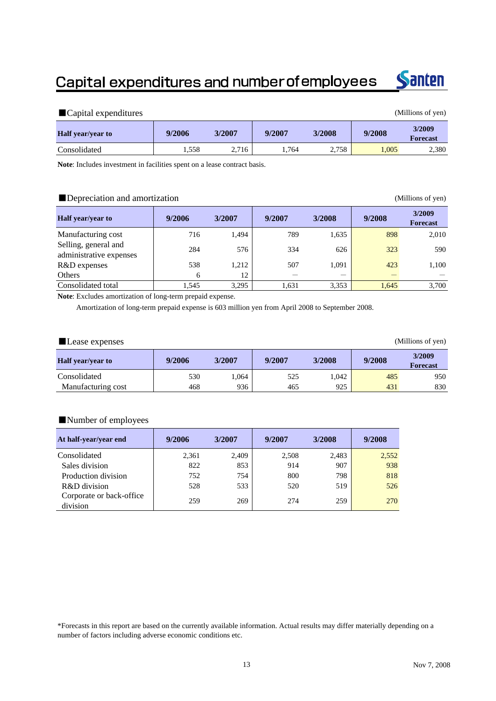## Capital expenditures and number of employees



| Capital expenditures<br>(Millions of yen) |        |        |        |        |        |                           |  |  |  |
|-------------------------------------------|--------|--------|--------|--------|--------|---------------------------|--|--|--|
| <b>Half</b> year/year to                  | 9/2006 | 3/2007 | 9/2007 | 3/2008 | 9/2008 | 3/2009<br><b>Forecast</b> |  |  |  |
| Consolidated                              | .558   | 2,716  | 1.764  | 2,758  | 1,005  | 2,380                     |  |  |  |

**Note**: Includes investment in facilities spent on a lease contract basis.

## ■Depreciation and amortization (Millions of yen)

| <b>Half</b> year/year to                        | 9/2006 | 3/2007 | 9/2007 | 3/2008 | 9/2008 | 3/2009<br><b>Forecast</b> |
|-------------------------------------------------|--------|--------|--------|--------|--------|---------------------------|
| Manufacturing cost                              | 716    | 1,494  | 789    | 1,635  | 898    | 2,010                     |
| Selling, general and<br>administrative expenses | 284    | 576    | 334    | 626    | 323    | 590                       |
| R&D expenses                                    | 538    | 1,212  | 507    | 1,091  | 423    | 1,100                     |
| Others                                          | 6      | 12     |        |        |        |                           |
| Consolidated total                              | .545   | 3,295  | 1,631  | 3,353  | 1.645  | 3,700                     |

**Note**: Excludes amortization of long-term prepaid expense.

Amortization of long-term prepaid expense is 603 million yen from April 2008 to September 2008.

| (Millions of yen)<br>Lease expenses |        |        |        |        |        |                           |  |  |  |
|-------------------------------------|--------|--------|--------|--------|--------|---------------------------|--|--|--|
| <b>Half</b> year/year to            | 9/2006 | 3/2007 | 9/2007 | 3/2008 | 9/2008 | 3/2009<br><b>Forecast</b> |  |  |  |
| Consolidated                        | 530    | 1,064  | 525    | 1.042  | 485    | 950                       |  |  |  |
| Manufacturing cost                  | 468    | 936    | 465    | 925    | 431    | 830                       |  |  |  |

## ■Number of employees

| At half-year/year end                | 9/2006 | 3/2007 | 9/2007 | 3/2008 | 9/2008 |
|--------------------------------------|--------|--------|--------|--------|--------|
| Consolidated                         | 2,361  | 2,409  | 2,508  | 2,483  | 2,552  |
| Sales division                       | 822    | 853    | 914    | 907    | 938    |
| Production division                  | 752    | 754    | 800    | 798    | 818    |
| R&D division                         | 528    | 533    | 520    | 519    | 526    |
| Corporate or back-office<br>division | 259    | 269    | 274    | 259    | 270    |

\*Forecasts in this report are based on the currently available information. Actual results may differ materially depending on a number of factors including adverse economic conditions etc.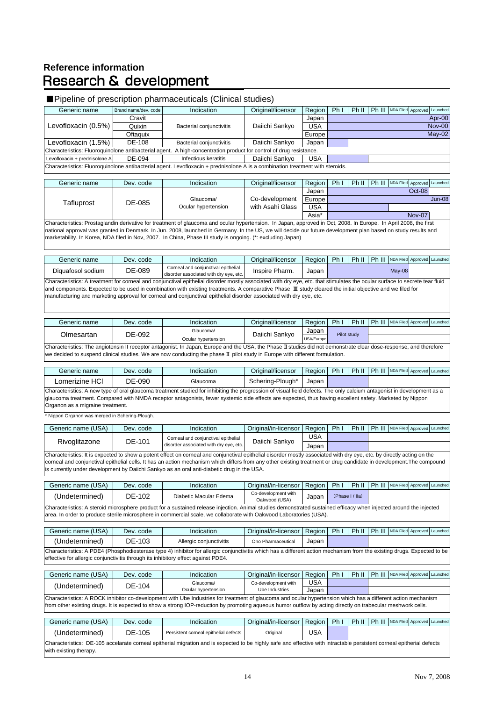## **Reference information Research & development**

### ■Pipeline of prescription pharmaceuticals (Clinical studies) Generic name Brand name/dev. code Indication | Original/licensor | Region | Ph I | Ph II | Ph III NDA Filed Approved Launched Cravit | Japan Quixin | Bacterial conjunctivitis | Daiichi Sankyo | USA Oftaquix | Europe Levofloxacin (1.5%) DE-108 Bacterial conjunctivitis Daiichi Sankyo Japan Levofloxacin + prednisolone A DE-094 Infectious keratitis | Daiichi Sankyo | USA Generic name Dev. code Indication Original/licensor Region Ph I Ph II Ph III NDA Filed Approved Launched Japan Europe Jun-08 USA Asia\* Generic name Dev. code Indication Original/licensor Region Ph I Ph II Ph III NDA Filed Approved Launched Diquatosol sodium DE-089 Corneal and conjunctival epithelial Corneal and conjunctival epithelial inspire Pharm. Japan May-08<br>disorder associated with dry eye, etc. May-08 Generic name Dev. code Indication Original/licensor Region Ph I Ph II Ph III NDA Filed Approved Launch Glaucoma/ Daiichi Sankyo Japan Ocular hypertension DallUIII JallKyU Generic name Dev. code Indication Original/licensor Region Ph I Ph II Ph III NDA Filed Approved Launched Lomerizine HCl  $\parallel$  DE-090 Glaucoma Schering-Plough\* | Japan Generic name (USA) Dev. code Indication | Original/in-licensor Region Ph I | Ph II | Ph III NDA Filed Approved Launched USA Japan Generic name (USA) Dev. code Indication Original/in-licensor Region Ph I Ph II Ph III NDA Filed Approved Launche (Undetermined) DE-102 Diabetic Macular Edema Co-development with o-development with Japan<br>Oakwood (USA) Generic name (USA) Dev. code Indication Original/in-licensor Region Ph I Ph II Ph III NDA Filed Approved Launched (Undetermined) DE-103 Allergic conjunctivitis Ono Pharmaceutical Japan Generic name (USA) Dev. code Indication Original/in-licensor Region Ph I Ph II Ph III NDA Filed Approved Launched USA Japan Generic name (USA) Dev. code Indication Original/in-licensor Region Ph I Ph II Ph III NDA Filed Approved Launched (Undetermined) DE-105 Persistent corneal epithelial defects Original USA Characteristics: The angiotensin II receptor antagonist. In Japan, Europe and the USA, the Phase Ⅱstudies did not demonstrate clear dose-response, and therefore we decided to suspend clinical studies. We are now conducting the phase Ⅱ pilot study in Europe with different formulation Pilot study Characteristics: A steroid microsphere product for a sustained release injection. Animal studies demonstrated sustained efficacy when injected around the injected area. In order to produce sterile microsphere in commercial scale, we collaborate with Oakwood Laboratories (USA). (Phase I / IIa) Characteristics: It is expected to show a potent effect on corneal and conjunctival epithelial disorder mostly associated with dry eye, etc. by directly acting on the corneal and conjunctival epithelial cells. It has an action mechanism which differs from any other existing treatment or drug candidate in development.The compound is currently under development by Daiichi Sankyo as an oral anti-diabetic drug in the USA. (Undetermined) DE-104 Characteristics: A new type of oral glaucoma treatment studied for inhibiting the progression of visual field defects. The only calcium antagonist in development as a glaucoma treatment. Compared with NMDA receptor antagonists, fewer systemic side effects are expected, thus having excellent safety. Marketed by Nippon Organon as a migraine treatment. Characteristics: A PDE4 (Phosphodiesterase type 4) inhibitor for allergic conjunctivitis which has a different action mechanism from the existing drugs. Expected to be effective for allergic conjunctivitis through its inhibitory effect against PDE4. Nippon Organon was merged in Schering-Plough. Olmesartan DE-092 Characteristics: Prostaglandin derivative for treatment of glaucoma and ocular hypertension. In Japan, approved in Oct, 2008. In Europe, In April 2008, the first national approval was granted in Denmark. In Jun. 2008, launched in Germany. In the US, we will decide our future development plan based on study results and marketability. In Korea, NDA filed in Nov, 2007. In China, Phase III study is ongoing. (\*: excluding Japan) Characteristics: A treatment for corneal and conjunctival epithelial disorder mostly associated with dry eye, etc. that stimulates the ocular surface to secrete tear fluid and components. Expected to be used in combination with existing treatments. A comparative Phase Ⅲ study cleared the initial objective and we filed for manufacturing and marketing approval for corneal and conjunctival epithelial disorder associated with dry eye, etc. Nov-00 May-02 Characteristics: Fluoroquinolone antibacterial agent. Levofloxacin + prednisolone A is a combination treatment with steroids. Apr-00 Levofloxacin (0.5%) Characteristics: Fluoroquinolone antibacterial agent. A high-concentration product for control of drug resistance. Rivoglitazone DE-101 Corneal and conjunctival epithelial Corneal and conjunctival epithelial<br>disorder associated with dry eye, etc. Daiichi Sankyo Characteristics: A ROCK inhibitor co-development with Ube Industries for treatment of glaucoma and ocular hypertension which has a different action mechanism from other existing drugs. It is expected to show a strong IOP-reduction by promoting aqueous humor outflow by acting directly on trabecular meshwork cells. Glaucoma/ Ocular hypertension Co-development with Ube Industries Oct-08 Nov-07 Tafluprost DE-085 Glaucoma/ Ocular hypertension Co-development with Asahi Glass

Characteristics: DE-105 accelarate corneal epitherial migration and is expected to be highly safe and effective with intractable persistent corneal epitherial defects with existing therapy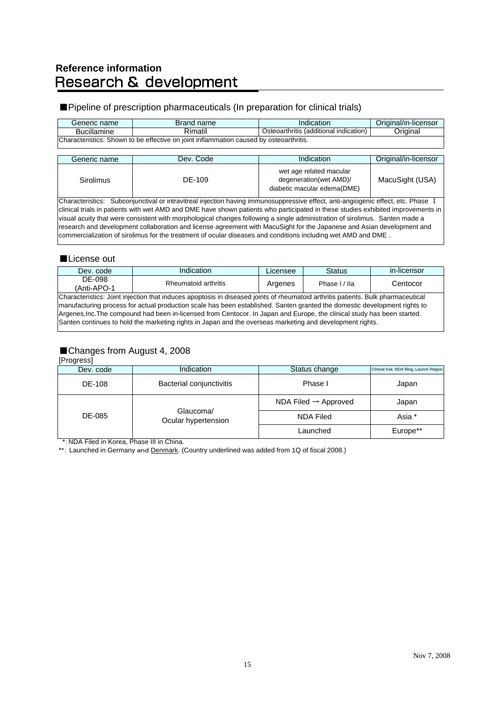# Reference information<br>Research & development

## ■ Pipeline of prescription pharmaceuticals (In preparation for clinical trials)

| Generic name       | Brand name                                                                             | Indication                             | Original/in-licensor |
|--------------------|----------------------------------------------------------------------------------------|----------------------------------------|----------------------|
| <b>Bucillamine</b> | Rimatil                                                                                | Osteoarthritis (additional indication) | Original             |
|                    | Characteristics: Shown to be effective on joint inflammation caused by osteoarthritis. |                                        |                      |

| Generic name     | Dev. Code | Indication                                                                       | Original/in-licensor |
|------------------|-----------|----------------------------------------------------------------------------------|----------------------|
| <b>Sirolimus</b> | DE-109    | wet age related macular<br>degeneration(wet AMD)/<br>diabetic macular edema(DME) | MacuSight (USA)      |

Characteristics: Subconjunctival or intravitreal injection having immunosuppressive effect, anti-angiogenic effect, etc. Phase Ⅰ clinical trials in patients with wet AMD and DME have shown patients who participated in these studies exhibited improvements in visual acuity that were consistent with morphological changes following a single administration of sirolimus. Santen made a research and development collaboration and license agreement with MacuSight for the Japanese and Asian development and commercialization of sirolimus for the treatment of ocular diseases and conditions including wet AMD and DME .

### ■License out

| Dev. code                                                                                                                | Indication                                                                                                                       | Licensee | <b>Status</b> | in-licensor |  |  |  |  |  |
|--------------------------------------------------------------------------------------------------------------------------|----------------------------------------------------------------------------------------------------------------------------------|----------|---------------|-------------|--|--|--|--|--|
| DE-098                                                                                                                   | Rheumatoid arthritis                                                                                                             |          | Phase I / Ila | Centocor    |  |  |  |  |  |
| (Anti-APO-1                                                                                                              |                                                                                                                                  | Argenes  |               |             |  |  |  |  |  |
|                                                                                                                          | Characteristics: Joint injection that induces apoptosis in diseased joints of rheumatoid arthritis patients. Bulk pharmaceutical |          |               |             |  |  |  |  |  |
|                                                                                                                          | manufacturing process for actual production scale has been established. Santen granted the domestic development rights to        |          |               |             |  |  |  |  |  |
| Argenes, Inc. The compound had been in-licensed from Centocor. In Japan and Europe, the clinical study has been started. |                                                                                                                                  |          |               |             |  |  |  |  |  |
| Santen continues to hold the marketing rights in Japan and the overseas marketing and development rights.                |                                                                                                                                  |          |               |             |  |  |  |  |  |

## ■Changes from August 4, 2008

[Progress]

| 1.199000            |                                  |               |                                           |
|---------------------|----------------------------------|---------------|-------------------------------------------|
| Dev. code           | Indication                       | Status change | Clinical trial, NDA filing, Launch Region |
| DE-108              | Bacterial conjunctivitis         | Phase I       | Japan                                     |
| Glaucoma/<br>DE-085 | NDA Filed $\rightarrow$ Approved | Japan         |                                           |
|                     | Ocular hypertension              | NDA Filed     | Asia *                                    |
| .                   | .                                | Launched      | Europe**                                  |

\*:NDA Filed in Korea, Phase III in China.

\*\*: Launched in Germany and Denmark. (Country underlined was added from 1Q of fiscal 2008.)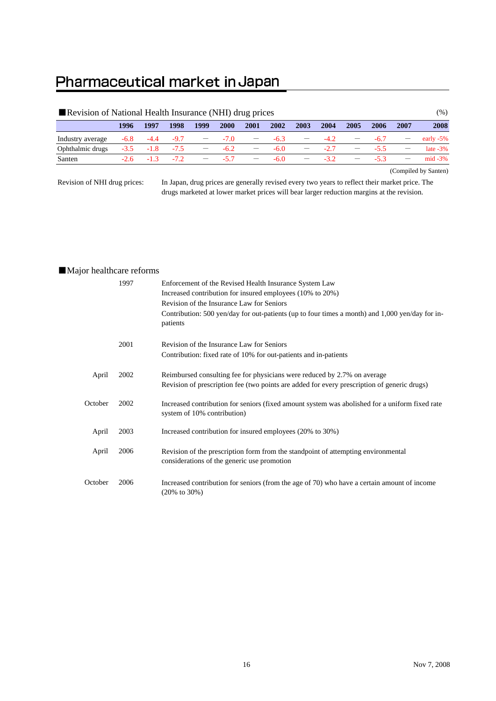## Pharmaceutical market in Japan

| Revision of National Health Insurance (NHI) drug prices |        |               |      |                                |             |                                                   |        |                   |        |      |             | (%)                             |              |
|---------------------------------------------------------|--------|---------------|------|--------------------------------|-------------|---------------------------------------------------|--------|-------------------|--------|------|-------------|---------------------------------|--------------|
|                                                         | 1996   | 1997          | 1998 | 1999                           | <b>2000</b> | <b>2001</b>                                       | 2002   | 2003              | 2004   | 2005 | <b>2006</b> | 2007                            | 2008         |
| Industry average                                        | $-6.8$ | $-4.4$ $-9.7$ |      | <b>Contract Contract State</b> | $-7.0$      |                                                   | $-6.3$ |                   | $-4.2$ |      | $-6.7$      |                                 | early $-5\%$ |
| Ophthalmic drugs                                        | $-3.5$ | $-1.8$ $-7.5$ |      |                                | $-$ -6.2    |                                                   | $-6.0$ |                   | $-2.7$ |      | $-55$       |                                 | late $-3\%$  |
| Santen                                                  | $-2.6$ | $-1.3$ $-7.2$ |      |                                | $- 57$      | $\frac{1}{2}$ and $\frac{1}{2}$ and $\frac{1}{2}$ | -60    | $\hspace{0.05cm}$ | $-32$  |      | $-53$       | $\hspace{0.1mm}-\hspace{0.1mm}$ | $mid -3\%$   |

(Compiled by Santen)

Revision of NHI drug prices:

In Japan, drug prices are generally revised every two years to reflect their market price. The drugs marketed at lower market prices will bear larger reduction margins at the revision.

## ■Major healthcare reforms

|         | 1997 | Enforcement of the Revised Health Insurance System Law<br>Increased contribution for insured employees (10% to 20%)<br>Revision of the Insurance Law for Seniors<br>Contribution: 500 yen/day for out-patients (up to four times a month) and 1,000 yen/day for in-<br>patients |
|---------|------|---------------------------------------------------------------------------------------------------------------------------------------------------------------------------------------------------------------------------------------------------------------------------------|
|         | 2001 | Revision of the Insurance Law for Seniors<br>Contribution: fixed rate of 10% for out-patients and in-patients                                                                                                                                                                   |
|         |      |                                                                                                                                                                                                                                                                                 |
| April   | 2002 | Reimbursed consulting fee for physicians were reduced by 2.7% on average<br>Revision of prescription fee (two points are added for every prescription of generic drugs)                                                                                                         |
| October | 2002 | Increased contribution for seniors (fixed amount system was abolished for a uniform fixed rate<br>system of 10% contribution)                                                                                                                                                   |
| April   | 2003 | Increased contribution for insured employees (20% to 30%)                                                                                                                                                                                                                       |
| April   | 2006 | Revision of the prescription form from the standpoint of attempting environmental<br>considerations of the generic use promotion                                                                                                                                                |
| October | 2006 | Increased contribution for seniors (from the age of 70) who have a certain amount of income<br>$(20\% \text{ to } 30\%)$                                                                                                                                                        |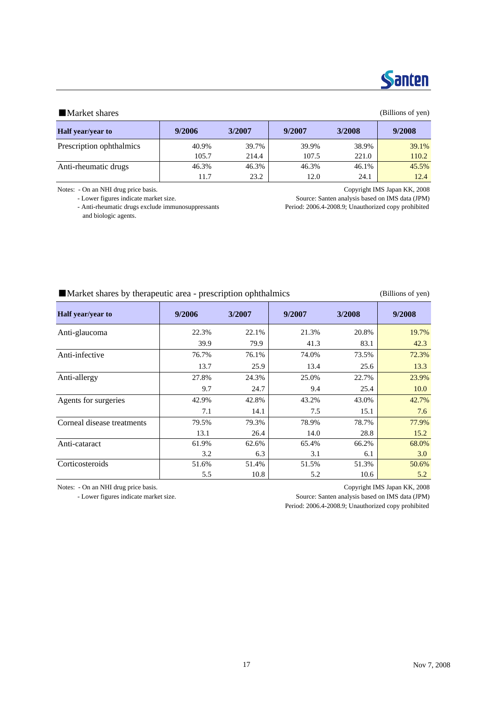

### ■Market shares (Billions of yen)

| <b>Half</b> year/year to | 9/2006 | 3/2007 | 9/2007 | 3/2008 | 9/2008 |
|--------------------------|--------|--------|--------|--------|--------|
| Prescription ophthalmics | 40.9%  | 39.7%  | 39.9%  | 38.9%  | 39.1%  |
|                          | 105.7  | 214.4  | 107.5  | 221.0  | 110.2  |
| Anti-rheumatic drugs     | 46.3%  | 46.3%  | 46.3%  | 46.1%  | 45.5%  |
|                          | 11.7   | 23.2   | 12.0   | 24.1   | 12.4   |

Notes: - On an NHI drug price basis. Copyright IMS Japan KK, 2008

and biologic agents.

- Lower figures indicate market size.<br>
Source: Santen analysis based on IMS data (JPM)<br>
- Anti-rheumatic drugs exclude immunosuppressants<br>
Period: 2006.4-2008.9; Unauthorized copy prohibited Period: 2006.4-2008.9; Unauthorized copy prohibited

## ■Market shares by therapeutic area - prescription ophthalmics (Billions of yen)

| Half year/year to          | 9/2006 | 3/2007 | 9/2007 | 3/2008 | 9/2008 |
|----------------------------|--------|--------|--------|--------|--------|
| Anti-glaucoma              | 22.3%  | 22.1%  | 21.3%  | 20.8%  | 19.7%  |
|                            | 39.9   | 79.9   | 41.3   | 83.1   | 42.3   |
| Anti-infective             | 76.7%  | 76.1%  | 74.0%  | 73.5%  | 72.3%  |
|                            | 13.7   | 25.9   | 13.4   | 25.6   | 13.3   |
| Anti-allergy               | 27.8%  | 24.3%  | 25.0%  | 22.7%  | 23.9%  |
|                            | 9.7    | 24.7   | 9.4    | 25.4   | 10.0   |
| Agents for surgeries       | 42.9%  | 42.8%  | 43.2%  | 43.0%  | 42.7%  |
|                            | 7.1    | 14.1   | 7.5    | 15.1   | 7.6    |
| Corneal disease treatments | 79.5%  | 79.3%  | 78.9%  | 78.7%  | 77.9%  |
|                            | 13.1   | 26.4   | 14.0   | 28.8   | 15.2   |
| Anti-cataract              | 61.9%  | 62.6%  | 65.4%  | 66.2%  | 68.0%  |
|                            | 3.2    | 6.3    | 3.1    | 6.1    | 3.0    |
| Corticosteroids            | 51.6%  | 51.4%  | 51.5%  | 51.3%  | 50.6%  |
|                            | 5.5    | 10.8   | 5.2    | 10.6   | 5.2    |

Notes: - On an NHI drug price basis. Copyright IMS Japan KK, 2008

- Lower figures indicate market size. Source: Santen analysis based on IMS data (JPM)

Period: 2006.4-2008.9; Unauthorized copy prohibited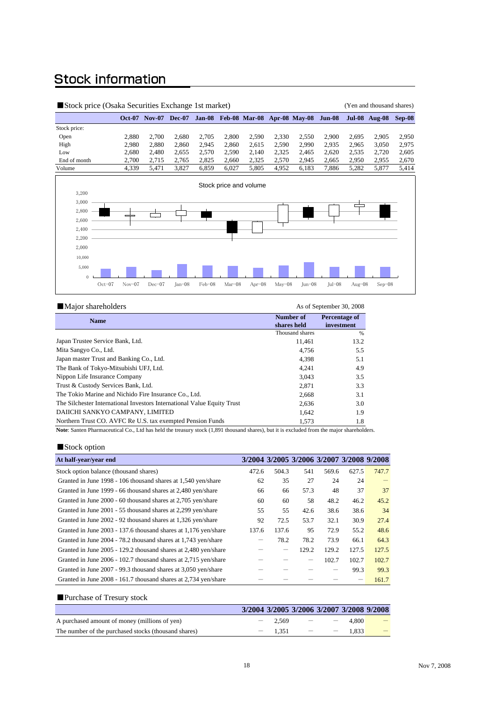## **Stock information**

|                                                             | Stock price (Osaka Securities Exchange 1st market) |          |                             |          |        |          |                                           | (Yen and thousand shares) |            |          |           |                             |       |
|-------------------------------------------------------------|----------------------------------------------------|----------|-----------------------------|----------|--------|----------|-------------------------------------------|---------------------------|------------|----------|-----------|-----------------------------|-------|
|                                                             |                                                    |          | <b>Oct-07 Nov-07 Dec-07</b> |          |        |          | Jan-08 Feb-08 Mar-08 Apr-08 May-08 Jun-08 |                           |            |          |           | <b>Jul-08 Aug-08 Sep-08</b> |       |
| Stock price:                                                |                                                    |          |                             |          |        |          |                                           |                           |            |          |           |                             |       |
| Open                                                        |                                                    | 2,880    | 2,700                       | 2,680    | 2,705  | 2,800    | 2,590                                     | 2,330                     | 2,550      | 2,900    | 2,695     | 2,905                       | 2,950 |
| High                                                        |                                                    | 2,980    | 2,880                       | 2,860    | 2,945  | 2,860    | 2,615                                     | 2,590                     | 2,990      | 2,935    | 2,965     | 3,050                       | 2,975 |
| Low                                                         |                                                    | 2,680    | 2,480                       | 2,655    | 2,570  | 2,590    | 2,140                                     | 2,325                     | 2,465      | 2,620    | 2,535     | 2,720                       | 2,605 |
| End of month                                                |                                                    | 2,700    | 2,715                       | 2,765    | 2,825  | 2,660    | 2,325                                     | 2,570                     | 2,945      | 2,665    | 2,950     | 2,955                       | 2,670 |
| Volume                                                      |                                                    | 4,339    | 5,471                       | 3,827    | 6,859  | 6,027    | 5,805                                     | 4,952                     | 6,183      | 7,886    | 5,282     | 5,877                       | 5,414 |
| 3,200<br>3,000<br>2,800<br>2,600<br>2,400<br>2,200<br>2,000 |                                                    |          |                             |          |        |          | Stock price and volume                    |                           |            |          |           |                             |       |
| 10,000<br>5,000<br>$\Omega$                                 | $Oct-07$                                           | $Nov-07$ | $Dec-07$                    | $Jan-08$ | Feb-08 | $Mar-08$ | Apr $-08$                                 | $May-08$                  | $Jun - 08$ | $Iul-08$ | Aug $-08$ | $Sep-08$                    |       |

| Major shareholders                                                                                                                                                                                                                           |                 | As of September 30, 2008 |
|----------------------------------------------------------------------------------------------------------------------------------------------------------------------------------------------------------------------------------------------|-----------------|--------------------------|
| <b>Name</b>                                                                                                                                                                                                                                  | Number of       | <b>Percentage of</b>     |
|                                                                                                                                                                                                                                              | shares held     | investment               |
|                                                                                                                                                                                                                                              | Thousand shares | %                        |
| Japan Trustee Service Bank, Ltd.                                                                                                                                                                                                             | 11,461          | 13.2                     |
| Mita Sangyo Co., Ltd.                                                                                                                                                                                                                        | 4.756           | 5.5                      |
| Japan master Trust and Banking Co., Ltd.                                                                                                                                                                                                     | 4,398           | 5.1                      |
| The Bank of Tokyo-Mitsubishi UFJ, Ltd.                                                                                                                                                                                                       | 4,241           | 4.9                      |
| Nippon Life Insurance Company                                                                                                                                                                                                                | 3,043           | 3.5                      |
| Trust & Custody Services Bank, Ltd.                                                                                                                                                                                                          | 2,871           | 3.3                      |
| The Tokio Marine and Nichido Fire Insurance Co., Ltd.                                                                                                                                                                                        | 2,668           | 3.1                      |
| The Silchester International Investors International Value Equity Trust                                                                                                                                                                      | 2.636           | 3.0                      |
| DAIICHI SANKYO CAMPANY, LIMITED                                                                                                                                                                                                              | 1.642           | 1.9                      |
| Northern Trust CO. AVFC Re U.S. tax exempted Pension Funds                                                                                                                                                                                   | 1.573           | 1.8                      |
| .<br>$\mathbf{v} = \mathbf{v}$ , and the contract of the contract of the contract of the contract of the contract of the contract of the contract of the contract of the contract of the contract of the contract of the contract of the con |                 |                          |

**Note**: Santen Pharmaceutical Co., Ltd has held the treasury stock (1,891 thousand shares), but it is excluded from the major shareholders.

## ■Stock option

| At half-year/year end                                           |       |                   |       |       | 3/2004 3/2005 3/2006 3/2007 3/2008 9/2008 |       |
|-----------------------------------------------------------------|-------|-------------------|-------|-------|-------------------------------------------|-------|
| Stock option balance (thousand shares)                          | 472.6 | 504.3             | 541   | 569.6 | 627.5                                     | 747.7 |
| Granted in June 1998 - 106 thousand shares at 1,540 yen/share   | 62    | 35                | 27    | 24    | 24                                        |       |
| Granted in June 1999 - 66 thousand shares at 2,480 yen/share    | 66    | 66                | 57.3  | 48    | 37                                        | 37    |
| Granted in June 2000 - 60 thousand shares at 2,705 yen/share    | 60    | 60                | 58    | 48.2  | 46.2                                      | 45.2  |
| Granted in June 2001 - 55 thousand shares at 2,299 yen/share    | 55    | 55                | 42.6  | 38.6  | 38.6                                      | 34    |
| Granted in June 2002 - 92 thousand shares at 1,326 yen/share    | 92    | 72.5              | 53.7  | 32.1  | 30.9                                      | 27.4  |
| Granted in June 2003 - 137.6 thousand shares at 1,176 yen/share | 137.6 | 137.6             | 95    | 72.9  | 55.2                                      | 48.6  |
| Granted in June 2004 - 78.2 thousand shares at 1,743 yen/share  |       | 78.2              | 78.2  | 73.9  | 66.1                                      | 64.3  |
| Granted in June 2005 - 129.2 thousand shares at 2,480 yen/share |       | $\qquad \qquad -$ | 129.2 | 129.2 | 127.5                                     | 127.5 |
| Granted in June 2006 - 102.7 thousand shares at 2,715 yen/share |       |                   |       | 102.7 | 102.7                                     | 102.7 |
| Granted in June 2007 - 99.3 thousand shares at 3,050 yen/share  |       |                   |       |       | 99.3                                      | 99.3  |
| Granted in June 2008 - 161.7 thousand shares at 2,734 yen/share |       |                   |       |       |                                           | 161.7 |

## ■Purchase of Tresury stock

|                                                      | 3/2004 3/2005 3/2006 3/2007 3/2008 9/2008 |                                     |                          |          |                                 |
|------------------------------------------------------|-------------------------------------------|-------------------------------------|--------------------------|----------|---------------------------------|
| A purchased amount of money (millions of yen)        | $-2,569$ $-$                              |                                     | $\overline{\phantom{a}}$ | 4.800    | $\hspace{0.1mm}-\hspace{0.1mm}$ |
| The number of the purchased stocks (thousand shares) | $-1.351$                                  | and the contract of the contract of |                          | $-1.833$ |                                 |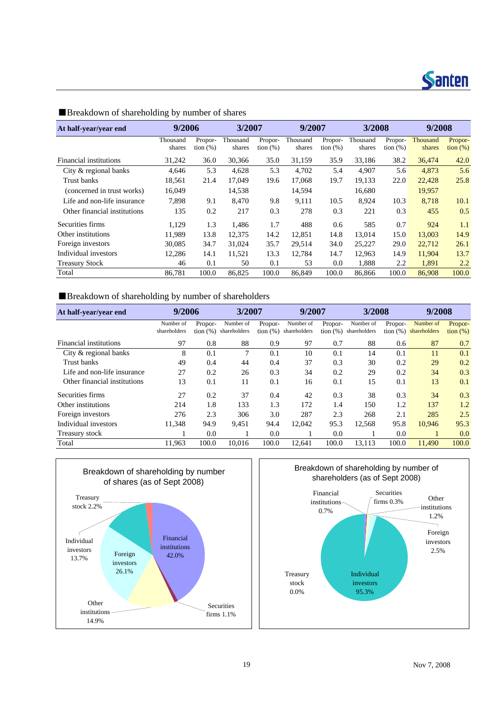

| At half-year/year end        | 9/2006   |             | 3/2007   |             | 9/2007   |             | 3/2008   |             | 9/2008   |             |
|------------------------------|----------|-------------|----------|-------------|----------|-------------|----------|-------------|----------|-------------|
|                              | Thousand | Propor-     | Thousand | Propor-     | Thousand | Propor-     | Thousand | Propor-     | Thousand | Propor-     |
|                              | shares   | tion $(\%)$ | shares   | tion $(\%)$ | shares   | tion $(\%)$ | shares   | tion $(\%)$ | shares   | tion $(\%)$ |
| Financial institutions       | 31,242   | 36.0        | 30,366   | 35.0        | 31,159   | 35.9        | 33.186   | 38.2        | 36,474   | 42.0        |
| City & regional banks        | 4,646    | 5.3         | 4,628    | 5.3         | 4,702    | 5.4         | 4,907    | 5.6         | 4,873    | 5.6         |
| Trust banks                  | 18.561   | 21.4        | 17,049   | 19.6        | 17.068   | 19.7        | 19.133   | 22.0        | 22,428   | 25.8        |
| (concerned in trust works)   | 16,049   |             | 14,538   |             | 14,594   |             | 16,680   |             | 19,957   |             |
| Life and non-life insurance  | 7.898    | 9.1         | 8,470    | 9.8         | 9,111    | 10.5        | 8.924    | 10.3        | 8,718    | 10.1        |
| Other financial institutions | 135      | 0.2         | 217      | 0.3         | 278      | 0.3         | 221      | 0.3         | 455      | 0.5         |
| Securities firms             | 1.129    | 1.3         | 1,486    | 1.7         | 488      | 0.6         | 585      | 0.7         | 924      | 1.1         |
| Other institutions           | 11.989   | 13.8        | 12,375   | 14.2        | 12.851   | 14.8        | 13,014   | 15.0        | 13,003   | 14.9        |
| Foreign investors            | 30,085   | 34.7        | 31,024   | 35.7        | 29,514   | 34.0        | 25,227   | 29.0        | 22,712   | 26.1        |
| Individual investors         | 12,286   | 14.1        | 11,521   | 13.3        | 12.784   | 14.7        | 12,963   | 14.9        | 11,904   | 13.7        |
| <b>Treasury Stock</b>        | 46       | 0.1         | 50       | 0.1         | 53       | 0.0         | 1,888    | 2.2         | 1,891    | 2.2         |
| Total                        | 86,781   | 100.0       | 86,825   | 100.0       | 86,849   | 100.0       | 86,866   | 100.0       | 86,908   | 100.0       |

## ■Breakdown of shareholding by number of shares

## ■Breakdown of shareholding by number of shareholders

| At half-year/year end        | 9/2006                    |                        |                           | 3/2007  |                                             | 9/2007                 |                           | 3/2008  |                                       | 9/2008                 |  |
|------------------------------|---------------------------|------------------------|---------------------------|---------|---------------------------------------------|------------------------|---------------------------|---------|---------------------------------------|------------------------|--|
|                              | Number of<br>shareholders | Propor-<br>tion $(% )$ | Number of<br>shareholders | Propor- | Number of<br>$\frac{1}{2}$ (%) shareholders | Propor-<br>tion $(\%)$ | Number of<br>shareholders | Propor- | Number of<br>tion $(\%)$ shareholders | Propor-<br>tion $(\%)$ |  |
| Financial institutions       | 97                        | 0.8                    | 88                        | 0.9     | 97                                          | 0.7                    | 88                        | 0.6     | 87                                    | 0.7                    |  |
| City & regional banks        | 8                         | 0.1                    | 7                         | 0.1     | 10                                          | 0.1                    | 14                        | 0.1     | 11                                    | 0.1                    |  |
| Trust banks                  | 49                        | 0.4                    | 44                        | 0.4     | 37                                          | 0.3                    | 30                        | 0.2     | 29                                    | 0.2                    |  |
| Life and non-life insurance  | 27                        | 0.2                    | 26                        | 0.3     | 34                                          | 0.2                    | 29                        | 0.2     | 34                                    | 0.3                    |  |
| Other financial institutions | 13                        | 0.1                    | 11                        | 0.1     | 16                                          | 0.1                    | 15                        | 0.1     | 13                                    | 0.1                    |  |
| Securities firms             | 27                        | 0.2                    | 37                        | 0.4     | 42                                          | 0.3                    | 38                        | 0.3     | 34                                    | 0.3                    |  |
| Other institutions           | 214                       | 1.8                    | 133                       | 1.3     | 172                                         | 1.4                    | 150                       | 1.2     | 137                                   | 1.2                    |  |
| Foreign investors            | 276                       | 2.3                    | 306                       | 3.0     | 287                                         | 2.3                    | 268                       | 2.1     | 285                                   | 2.5                    |  |
| Individual investors         | 11.348                    | 94.9                   | 9,451                     | 94.4    | 12.042                                      | 95.3                   | 12.568                    | 95.8    | 10.946                                | 95.3                   |  |
| Treasury stock               |                           | 0.0                    |                           | 0.0     |                                             | 0.0                    |                           | 0.0     |                                       | 0.0                    |  |
| Total                        | 11,963                    | 100.0                  | 10.016                    | 100.0   | 12.641                                      | 100.0                  | 13,113                    | 100.0   | 11,490                                | 100.0                  |  |





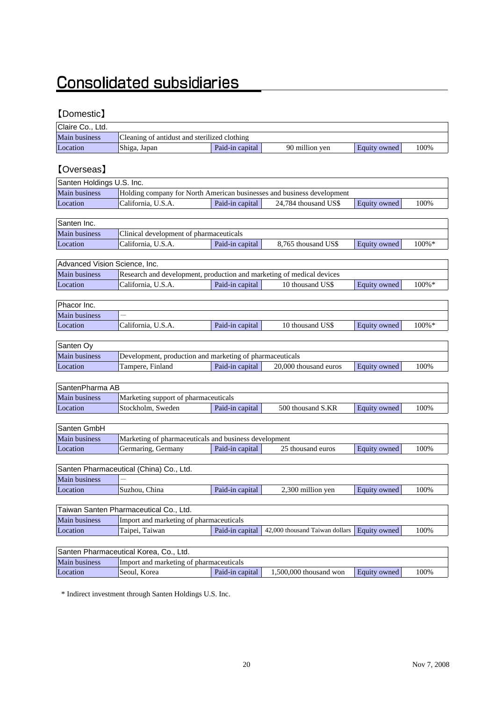## **Consolidated subsidiaries**

## 【Domestic】

| Claire Co., Ltd.              |                                                                        |                 |                                |                     |       |
|-------------------------------|------------------------------------------------------------------------|-----------------|--------------------------------|---------------------|-------|
| Main business                 | Cleaning of antidust and sterilized clothing                           |                 |                                |                     |       |
| Location                      | Shiga, Japan                                                           | Paid-in capital | 90 million yen                 | Equity owned        | 100%  |
|                               |                                                                        |                 |                                |                     |       |
| <b>[Overseas]</b>             |                                                                        |                 |                                |                     |       |
| Santen Holdings U.S. Inc.     |                                                                        |                 |                                |                     |       |
| Main business                 | Holding company for North American businesses and business development |                 |                                |                     |       |
| Location                      | California, U.S.A.                                                     | Paid-in capital | 24,784 thousand US\$           | Equity owned        | 100%  |
|                               |                                                                        |                 |                                |                     |       |
| Santen Inc.                   |                                                                        |                 |                                |                     |       |
| Main business                 | Clinical development of pharmaceuticals                                |                 |                                |                     |       |
| Location                      | California, U.S.A.                                                     | Paid-in capital | 8,765 thousand US\$            | Equity owned        | 100%* |
|                               |                                                                        |                 |                                |                     |       |
| Advanced Vision Science, Inc. |                                                                        |                 |                                |                     |       |
| Main business                 | Research and development, production and marketing of medical devices  |                 |                                |                     |       |
| Location                      | California, U.S.A.                                                     | Paid-in capital | 10 thousand US\$               | <b>Equity</b> owned | 100%* |
|                               |                                                                        |                 |                                |                     |       |
| Phacor Inc.                   |                                                                        |                 |                                |                     |       |
| Main business                 |                                                                        |                 |                                |                     |       |
| Location                      | California, U.S.A.                                                     | Paid-in capital | 10 thousand US\$               | Equity owned        | 100%* |
|                               |                                                                        |                 |                                |                     |       |
| Santen Oy                     |                                                                        |                 |                                |                     |       |
| Main business                 | Development, production and marketing of pharmaceuticals               |                 |                                |                     |       |
| Location                      | Tampere, Finland                                                       | Paid-in capital | 20,000 thousand euros          | Equity owned        | 100%  |
| SantenPharma AB               |                                                                        |                 |                                |                     |       |
| Main business                 | Marketing support of pharmaceuticals                                   |                 |                                |                     |       |
| Location                      | Stockholm, Sweden                                                      | Paid-in capital | 500 thousand S.KR              | Equity owned        | 100%  |
|                               |                                                                        |                 |                                |                     |       |
| Santen GmbH                   |                                                                        |                 |                                |                     |       |
| Main business                 | Marketing of pharmaceuticals and business development                  |                 |                                |                     |       |
| Location                      | Germaring, Germany                                                     | Paid-in capital | 25 thousand euros              | Equity owned        | 100%  |
|                               |                                                                        |                 |                                |                     |       |
|                               | Santen Pharmaceutical (China) Co., Ltd.                                |                 |                                |                     |       |
| Main business                 |                                                                        |                 |                                |                     |       |
| Location                      | Suzhou, China                                                          | Paid-in capital | 2.300 million ven              | Equity owned        | 100%  |
|                               |                                                                        |                 |                                |                     |       |
|                               | Taiwan Santen Pharmaceutical Co., Ltd.                                 |                 |                                |                     |       |
| Main business                 | Import and marketing of pharmaceuticals                                |                 |                                |                     |       |
| Location                      | Taipei, Taiwan                                                         | Paid-in capital | 42,000 thousand Taiwan dollars | Equity owned        | 100%  |
|                               |                                                                        |                 |                                |                     |       |
|                               | Santen Pharmaceutical Korea, Co., Ltd.                                 |                 |                                |                     |       |
| Main business                 | Import and marketing of pharmaceuticals                                |                 |                                |                     |       |

\* Indirect investment through Santen Holdings U.S. Inc.

Location Seoul, Korea Paid-in capital 1,500,000 thousand won Equity owned 100%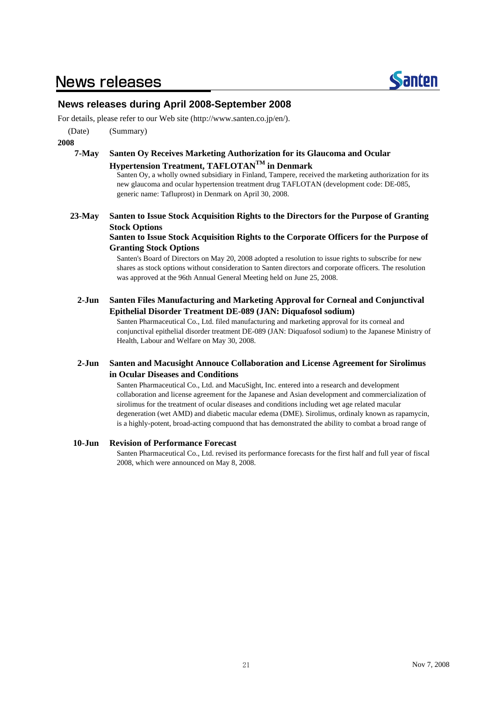## **News releases**



## **News releases during April 2008-September 2008**

For details, please refer to our Web site (http://www.santen.co.jp/en/).

(Date) (Summary)

**2008**

### **7-May Santen Oy Receives Marketing Authorization for its Glaucoma and Ocular**

## **Hypertension Treatment, TAFLOTANTM in Denmark**

Santen Oy, a wholly owned subsidiary in Finland, Tampere, received the marketing authorization for its new glaucoma and ocular hypertension treatment drug TAFLOTAN (development code: DE-085, generic name: Tafluprost) in Denmark on April 30, 2008.

**23-May Santen to Issue Stock Acquisition Rights to the Directors for the Purpose of Granting Stock Options**

### **Santen to Issue Stock Acquisition Rights to the Corporate Officers for the Purpose of Granting Stock Options**

Santen's Board of Directors on May 20, 2008 adopted a resolution to issue rights to subscribe for new shares as stock options without consideration to Santen directors and corporate officers. The resolution was approved at the 96th Annual General Meeting held on June 25, 2008.

**2-Jun Santen Files Manufacturing and Marketing Approval for Corneal and Conjunctival Epithelial Disorder Treatment DE-089 (JAN: Diquafosol sodium)**

> Santen Pharmaceutical Co., Ltd. filed manufacturing and marketing approval for its corneal and conjunctival epithelial disorder treatment DE-089 (JAN: Diquafosol sodium) to the Japanese Ministry of Health, Labour and Welfare on May 30, 2008.

### **2-Jun Santen and Macusight Annouce Collaboration and License Agreement for Sirolimus in Ocular Diseases and Conditions**

Santen Pharmaceutical Co., Ltd. and MacuSight, Inc. entered into a research and development collaboration and license agreement for the Japanese and Asian development and commercialization of sirolimus for the treatment of ocular diseases and conditions including wet age related macular degeneration (wet AMD) and diabetic macular edema (DME). Sirolimus, ordinaly known as rapamycin, is a highly-potent, broad-acting compuond that has demonstrated the ability to combat a broad range of

### **10-Jun Revision of Performance Forecast**

Santen Pharmaceutical Co., Ltd. revised its performance forecasts for the first half and full year of fiscal 2008, which were announced on May 8, 2008.